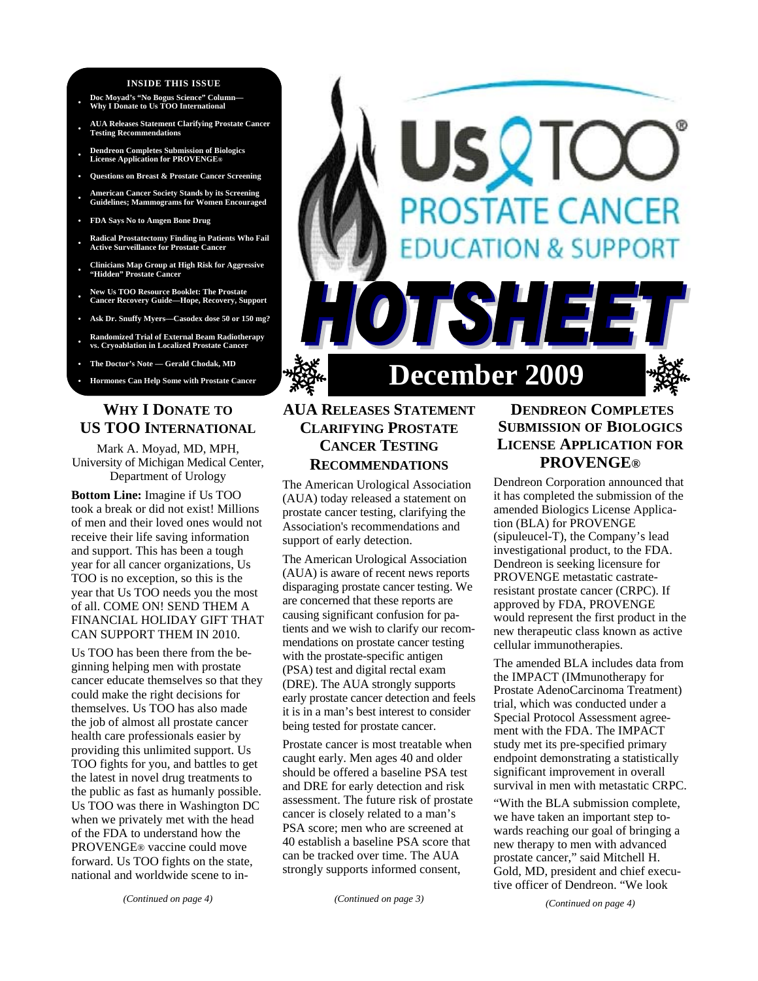#### **INSIDE THIS ISSUE**

- **Doc Moyad's "No Bogus Science" Column— Why I Donate to Us TOO International**
- **AUA Releases Statement Clarifying Prostate Cancer Testing Recommendations**
- **Dendreon Completes Submission of Biologics License Application for PROVENGE®**
- **Questions on Breast & Prostate Cancer Screening**
- **American Cancer Society Stands by its Screening Guidelines; Mammograms for Women Encouraged**
- **FDA Says No to Amgen Bone Drug**
- **Radical Prostatectomy Finding in Patients Who Fail Active Surveillance for Prostate Cancer**
- **Clinicians Map Group at High Risk for Aggressive "Hidden" Prostate Cancer**
- **New Us TOO Resource Booklet: The Prostate Cancer Recovery Guide—Hope, Recovery, Support**
- **Ask Dr. Snuffy Myers—Casodex dose 50 or 150 mg?**
- **Randomized Trial of External Beam Radiotherapy vs. Cryoablation in Localized Prostate Cancer**
- **The Doctor's Note Gerald Chodak, MD**
- 

# **WHY I DONATE TO US TOO INTERNATIONAL**

Mark A. Moyad, MD, MPH, University of Michigan Medical Center, Department of Urology

**Bottom Line:** Imagine if Us TOO took a break or did not exist! Millions of men and their loved ones would not receive their life saving information and support. This has been a tough year for all cancer organizations, Us TOO is no exception, so this is the year that Us TOO needs you the most of all. COME ON! SEND THEM A FINANCIAL HOLIDAY GIFT THAT CAN SUPPORT THEM IN 2010.

Us TOO has been there from the beginning helping men with prostate cancer educate themselves so that they could make the right decisions for themselves. Us TOO has also made the job of almost all prostate cancer health care professionals easier by providing this unlimited support. Us TOO fights for you, and battles to get the latest in novel drug treatments to the public as fast as humanly possible. Us TOO was there in Washington DC when we privately met with the head of the FDA to understand how the PROVENGE® vaccine could move forward. Us TOO fights on the state, national and worldwide scene to in-



# **AUA RELEASES STATEMENT CLARIFYING PROSTATE CANCER TESTING RECOMMENDATIONS**

The American Urological Association (AUA) today released a statement on prostate cancer testing, clarifying the Association's recommendations and support of early detection.

The American Urological Association (AUA) is aware of recent news reports disparaging prostate cancer testing. We are concerned that these reports are causing significant confusion for patients and we wish to clarify our recommendations on prostate cancer testing with the prostate-specific antigen (PSA) test and digital rectal exam (DRE). The AUA strongly supports early prostate cancer detection and feels it is in a man's best interest to consider being tested for prostate cancer.

Prostate cancer is most treatable when caught early. Men ages 40 and older should be offered a baseline PSA test and DRE for early detection and risk assessment. The future risk of prostate cancer is closely related to a man's PSA score; men who are screened at 40 establish a baseline PSA score that can be tracked over time. The AUA strongly supports informed consent,

# **DENDREON COMPLETES SUBMISSION OF BIOLOGICS LICENSE APPLICATION FOR PROVENGE®**

Dendreon Corporation announced that it has completed the submission of the amended Biologics License Application (BLA) for PROVENGE (sipuleucel-T), the Company's lead investigational product, to the FDA. Dendreon is seeking licensure for PROVENGE metastatic castrateresistant prostate cancer (CRPC). If approved by FDA, PROVENGE would represent the first product in the new therapeutic class known as active cellular immunotherapies.

The amended BLA includes data from the IMPACT (IMmunotherapy for Prostate AdenoCarcinoma Treatment) trial, which was conducted under a Special Protocol Assessment agreement with the FDA. The IMPACT study met its pre-specified primary endpoint demonstrating a statistically significant improvement in overall survival in men with metastatic CRPC.

"With the BLA submission complete, we have taken an important step towards reaching our goal of bringing a new therapy to men with advanced prostate cancer," said Mitchell H. Gold, MD, president and chief executive officer of Dendreon. "We look

*(Continued on page 4)*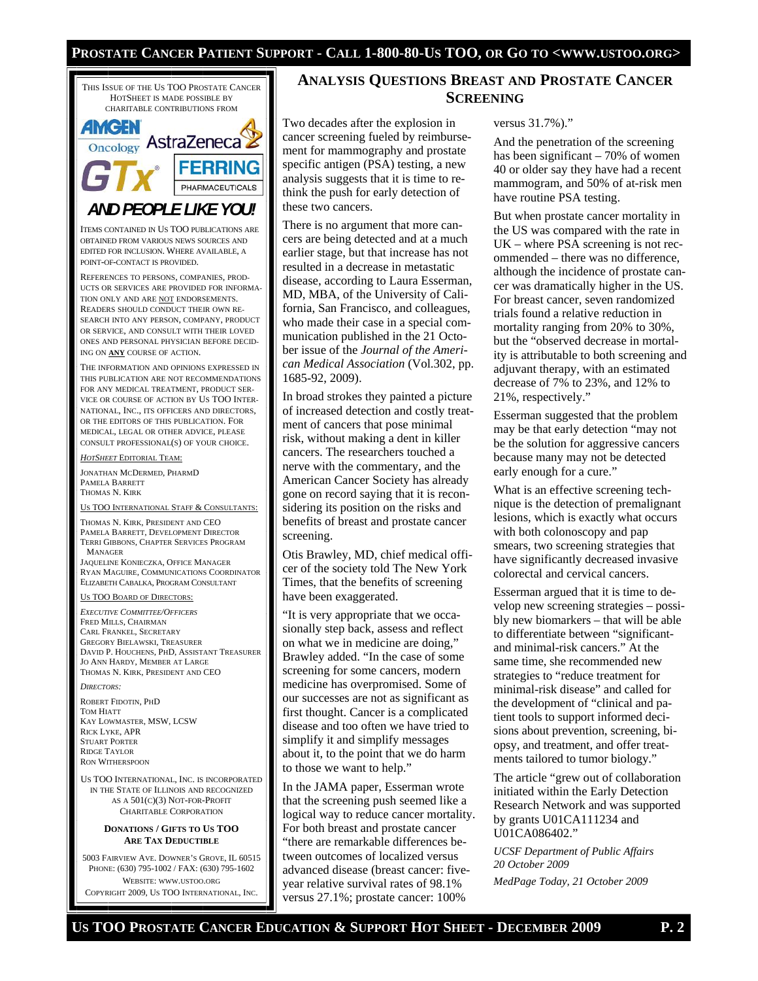#### **PROSTATE CANCER PATIENT SUPPORT - CALL 1-800-80-US TOO, OR GO TO <WWW.USTOO.ORG>**



WEBSITE: WWW.USTOO.ORG COPYRIGHT 2009, US TOO INTERNATIONAL, INC.

### **ANALYSIS QUESTIONS BREAST AND PROSTATE CANCER SCREENING**

Two decades after the explosion in cancer screening fueled by reimbursement for mammography and prostate specific antigen (PSA) testing, a new analysis suggests that it is time to rethink the push for early detection of these two cancers.

There is no argument that more cancers are being detected and at a much earlier stage, but that increase has not resulted in a decrease in metastatic disease, according to Laura Esserman, MD, MBA, of the University of California, San Francisco, and colleagues, who made their case in a special communication published in the 21 October issue of the *Journal of the American Medical Association* (Vol.302, pp. 1685-92, 2009).

In broad strokes they painted a picture of increased detection and costly treatment of cancers that pose minimal risk, without making a dent in killer cancers. The researchers touched a nerve with the commentary, and the American Cancer Society has already gone on record saying that it is reconsidering its position on the risks and benefits of breast and prostate cancer screening.

Otis Brawley, MD, chief medical officer of the society told The New York Times, that the benefits of screening have been exaggerated.

"It is very appropriate that we occasionally step back, assess and reflect on what we in medicine are doing," Brawley added. "In the case of some screening for some cancers, modern medicine has overpromised. Some of our successes are not as significant as first thought. Cancer is a complicated disease and too often we have tried to simplify it and simplify messages about it, to the point that we do harm to those we want to help."

In the JAMA paper, Esserman wrote that the screening push seemed like a logical way to reduce cancer mortality. For both breast and prostate cancer "there are remarkable differences between outcomes of localized versus advanced disease (breast cancer: fiveyear relative survival rates of 98.1% versus 27.1%; prostate cancer: 100%

#### versus 31.7%)."

And the penetration of the screening has been significant – 70% of women 40 or older say they have had a recent mammogram, and 50% of at-risk men have routine PSA testing.

But when prostate cancer mortality in the US was compared with the rate in UK – where PSA screening is not recommended – there was no difference, although the incidence of prostate cancer was dramatically higher in the US. For breast cancer, seven randomized trials found a relative reduction in mortality ranging from 20% to 30%, but the "observed decrease in mortality is attributable to both screening and adjuvant therapy, with an estimated decrease of 7% to 23%, and 12% to 21%, respectively."

Esserman suggested that the problem may be that early detection "may not be the solution for aggressive cancers because many may not be detected early enough for a cure."

What is an effective screening technique is the detection of premalignant lesions, which is exactly what occurs with both colonoscopy and pap smears, two screening strategies that have significantly decreased invasive colorectal and cervical cancers.

Esserman argued that it is time to develop new screening strategies – possibly new biomarkers – that will be able to differentiate between "significantand minimal-risk cancers." At the same time, she recommended new strategies to "reduce treatment for minimal-risk disease" and called for the development of "clinical and patient tools to support informed decisions about prevention, screening, biopsy, and treatment, and offer treatments tailored to tumor biology."

The article "grew out of collaboration initiated within the Early Detection Research Network and was supported by grants U01CA111234 and U01CA086402."

*UCSF Department of Public Affairs 20 October 2009 MedPage Today, 21 October 2009*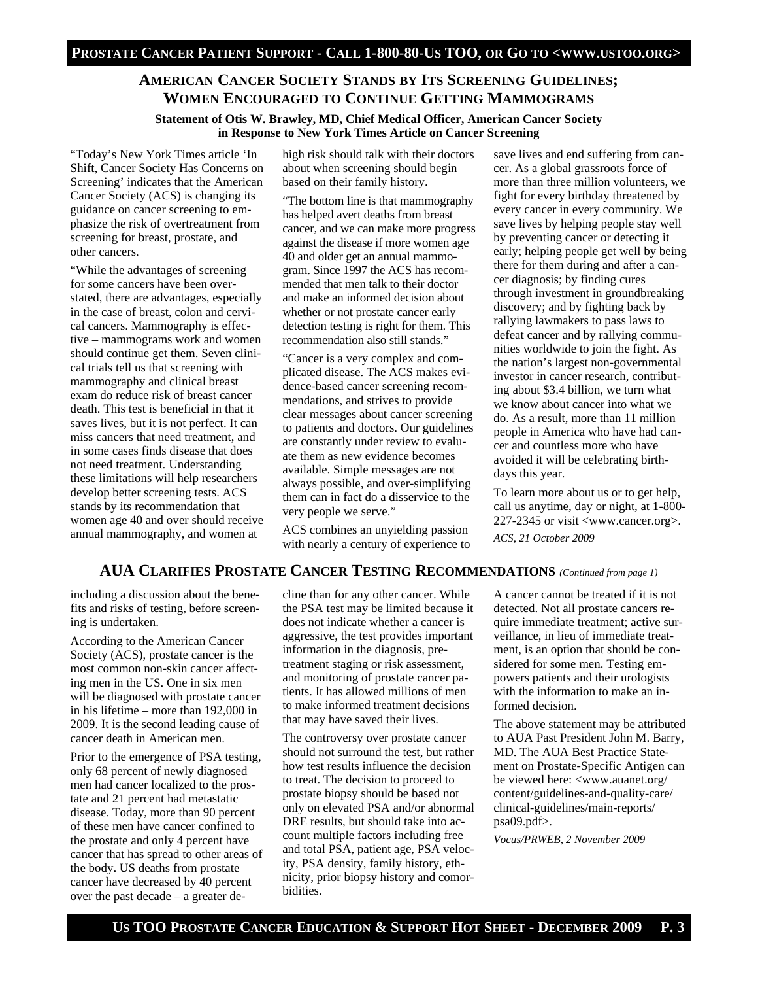### **AMERICAN CANCER SOCIETY STANDS BY ITS SCREENING GUIDELINES; WOMEN ENCOURAGED TO CONTINUE GETTING MAMMOGRAMS**

**Statement of Otis W. Brawley, MD, Chief Medical Officer, American Cancer Society in Response to New York Times Article on Cancer Screening** 

"Today's New York Times article 'In Shift, Cancer Society Has Concerns on Screening' indicates that the American Cancer Society (ACS) is changing its guidance on cancer screening to emphasize the risk of overtreatment from screening for breast, prostate, and other cancers.

"While the advantages of screening for some cancers have been overstated, there are advantages, especially in the case of breast, colon and cervical cancers. Mammography is effective – mammograms work and women should continue get them. Seven clinical trials tell us that screening with mammography and clinical breast exam do reduce risk of breast cancer death. This test is beneficial in that it saves lives, but it is not perfect. It can miss cancers that need treatment, and in some cases finds disease that does not need treatment. Understanding these limitations will help researchers develop better screening tests. ACS stands by its recommendation that women age 40 and over should receive annual mammography, and women at

high risk should talk with their doctors about when screening should begin based on their family history.

"The bottom line is that mammography has helped avert deaths from breast cancer, and we can make more progress against the disease if more women age 40 and older get an annual mammogram. Since 1997 the ACS has recommended that men talk to their doctor and make an informed decision about whether or not prostate cancer early detection testing is right for them. This recommendation also still stands."

"Cancer is a very complex and complicated disease. The ACS makes evidence-based cancer screening recommendations, and strives to provide clear messages about cancer screening to patients and doctors. Our guidelines are constantly under review to evaluate them as new evidence becomes available. Simple messages are not always possible, and over-simplifying them can in fact do a disservice to the very people we serve."

ACS combines an unyielding passion with nearly a century of experience to

save lives and end suffering from cancer. As a global grassroots force of more than three million volunteers, we fight for every birthday threatened by every cancer in every community. We save lives by helping people stay well by preventing cancer or detecting it early; helping people get well by being there for them during and after a cancer diagnosis; by finding cures through investment in groundbreaking discovery; and by fighting back by rallying lawmakers to pass laws to defeat cancer and by rallying communities worldwide to join the fight. As the nation's largest non-governmental investor in cancer research, contributing about \$3.4 billion, we turn what we know about cancer into what we do. As a result, more than 11 million people in America who have had cancer and countless more who have avoided it will be celebrating birthdays this year.

To learn more about us or to get help, call us anytime, day or night, at 1-800- 227-2345 or visit <www.cancer.org>. *ACS, 21 October 2009* 

# **AUA CLARIFIES PROSTATE CANCER TESTING RECOMMENDATIONS** *(Continued from page 1)*

including a discussion about the benefits and risks of testing, before screening is undertaken.

According to the American Cancer Society (ACS), prostate cancer is the most common non-skin cancer affecting men in the US. One in six men will be diagnosed with prostate cancer in his lifetime – more than 192,000 in 2009. It is the second leading cause of cancer death in American men.

Prior to the emergence of PSA testing, only 68 percent of newly diagnosed men had cancer localized to the prostate and 21 percent had metastatic disease. Today, more than 90 percent of these men have cancer confined to the prostate and only 4 percent have cancer that has spread to other areas of the body. US deaths from prostate cancer have decreased by 40 percent over the past decade – a greater decline than for any other cancer. While the PSA test may be limited because it does not indicate whether a cancer is aggressive, the test provides important information in the diagnosis, pretreatment staging or risk assessment, and monitoring of prostate cancer patients. It has allowed millions of men to make informed treatment decisions that may have saved their lives.

The controversy over prostate cancer should not surround the test, but rather how test results influence the decision to treat. The decision to proceed to prostate biopsy should be based not only on elevated PSA and/or abnormal DRE results, but should take into account multiple factors including free and total PSA, patient age, PSA velocity, PSA density, family history, ethnicity, prior biopsy history and comorbidities.

A cancer cannot be treated if it is not detected. Not all prostate cancers require immediate treatment; active surveillance, in lieu of immediate treatment, is an option that should be considered for some men. Testing empowers patients and their urologists with the information to make an informed decision.

The above statement may be attributed to AUA Past President John M. Barry, MD. The AUA Best Practice Statement on Prostate-Specific Antigen can be viewed here: <www.auanet.org/ content/guidelines-and-quality-care/ clinical-guidelines/main-reports/ psa09.pdf>.

*Vocus/PRWEB, 2 November 2009*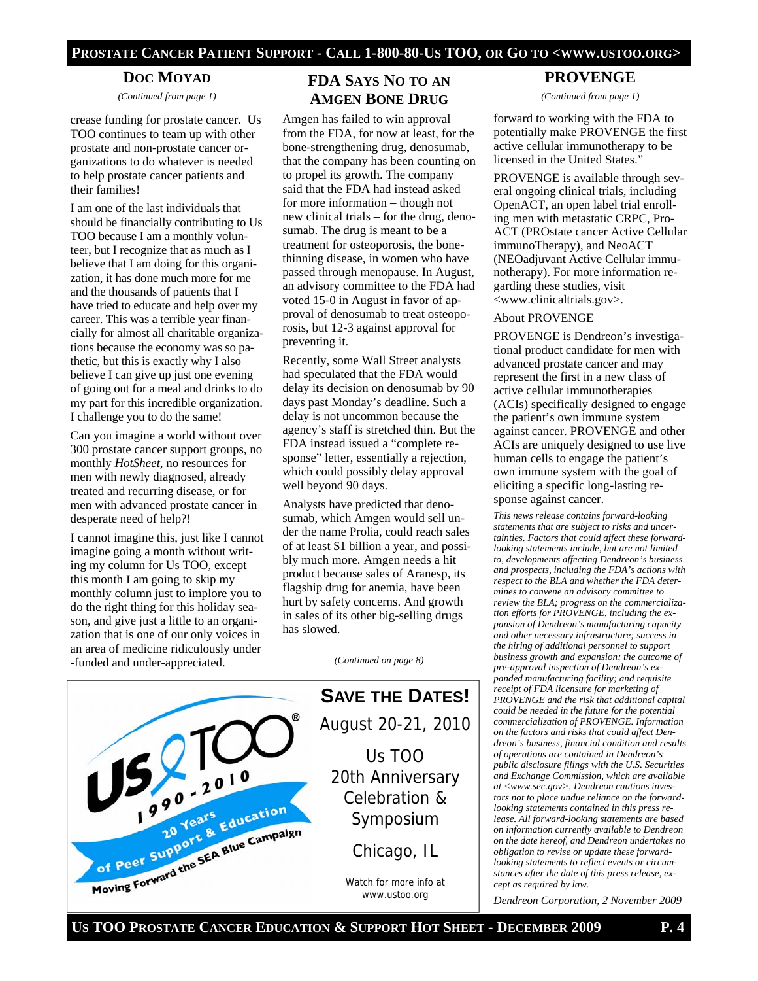#### **PROSTATE CANCER PATIENT SUPPORT - CALL 1-800-80-US TOO, OR GO TO <WWW.USTOO.ORG>**

#### **DOC MOYAD**

*(Continued from page 1)* 

crease funding for prostate cancer. Us TOO continues to team up with other prostate and non-prostate cancer organizations to do whatever is needed to help prostate cancer patients and their families!

I am one of the last individuals that should be financially contributing to Us TOO because I am a monthly volunteer, but I recognize that as much as I believe that I am doing for this organization, it has done much more for me and the thousands of patients that I have tried to educate and help over my career. This was a terrible year financially for almost all charitable organizations because the economy was so pathetic, but this is exactly why I also believe I can give up just one evening of going out for a meal and drinks to do my part for this incredible organization. I challenge you to do the same!

Can you imagine a world without over 300 prostate cancer support groups, no monthly *HotSheet*, no resources for men with newly diagnosed, already treated and recurring disease, or for men with advanced prostate cancer in desperate need of help?!

I cannot imagine this, just like I cannot imagine going a month without writing my column for Us TOO, except this month I am going to skip my monthly column just to implore you to do the right thing for this holiday season, and give just a little to an organization that is one of our only voices in an area of medicine ridiculously under -funded and under-appreciated.

### **FDA SAYS NO TO AN AMGEN BONE DRUG**

Amgen has failed to win approval from the FDA, for now at least, for the bone-strengthening drug, denosumab, that the company has been counting on to propel its growth. The company said that the FDA had instead asked for more information – though not new clinical trials – for the drug, denosumab. The drug is meant to be a treatment for osteoporosis, the bonethinning disease, in women who have passed through menopause. In August, an advisory committee to the FDA had voted 15-0 in August in favor of approval of denosumab to treat osteoporosis, but 12-3 against approval for preventing it.

Recently, some Wall Street analysts had speculated that the FDA would delay its decision on denosumab by 90 days past Monday's deadline. Such a delay is not uncommon because the agency's staff is stretched thin. But the FDA instead issued a "complete response" letter, essentially a rejection, which could possibly delay approval well beyond 90 days.

Analysts have predicted that denosumab, which Amgen would sell under the name Prolia, could reach sales of at least \$1 billion a year, and possibly much more. Amgen needs a hit product because sales of Aranesp, its flagship drug for anemia, have been hurt by safety concerns. And growth in sales of its other big-selling drugs has slowed.

*(Continued on page 8)* 



# **PROVENGE**

*(Continued from page 1)* 

forward to working with the FDA to potentially make PROVENGE the first active cellular immunotherapy to be licensed in the United States."

PROVENGE is available through several ongoing clinical trials, including OpenACT, an open label trial enrolling men with metastatic CRPC, Pro-ACT (PROstate cancer Active Cellular immunoTherapy), and NeoACT (NEOadjuvant Active Cellular immunotherapy). For more information regarding these studies, visit <www.clinicaltrials.gov>.

#### About PROVENGE

PROVENGE is Dendreon's investigational product candidate for men with advanced prostate cancer and may represent the first in a new class of active cellular immunotherapies (ACIs) specifically designed to engage the patient's own immune system against cancer. PROVENGE and other ACIs are uniquely designed to use live human cells to engage the patient's own immune system with the goal of eliciting a specific long-lasting response against cancer.

*This news release contains forward-looking statements that are subject to risks and uncertainties. Factors that could affect these forwardlooking statements include, but are not limited to, developments affecting Dendreon's business and prospects, including the FDA's actions with respect to the BLA and whether the FDA determines to convene an advisory committee to review the BLA; progress on the commercialization efforts for PROVENGE, including the expansion of Dendreon's manufacturing capacity and other necessary infrastructure; success in the hiring of additional personnel to support business growth and expansion; the outcome of pre-approval inspection of Dendreon's expanded manufacturing facility; and requisite receipt of FDA licensure for marketing of PROVENGE and the risk that additional capital could be needed in the future for the potential commercialization of PROVENGE. Information on the factors and risks that could affect Dendreon's business, financial condition and results of operations are contained in Dendreon's public disclosure filings with the U.S. Securities and Exchange Commission, which are available at <www.sec.gov>. Dendreon cautions investors not to place undue reliance on the forwardlooking statements contained in this press release. All forward-looking statements are based on information currently available to Dendreon on the date hereof, and Dendreon undertakes no obligation to revise or update these forwardlooking statements to reflect events or circumstances after the date of this press release, except as required by law.* 

*Dendreon Corporation, 2 November 2009*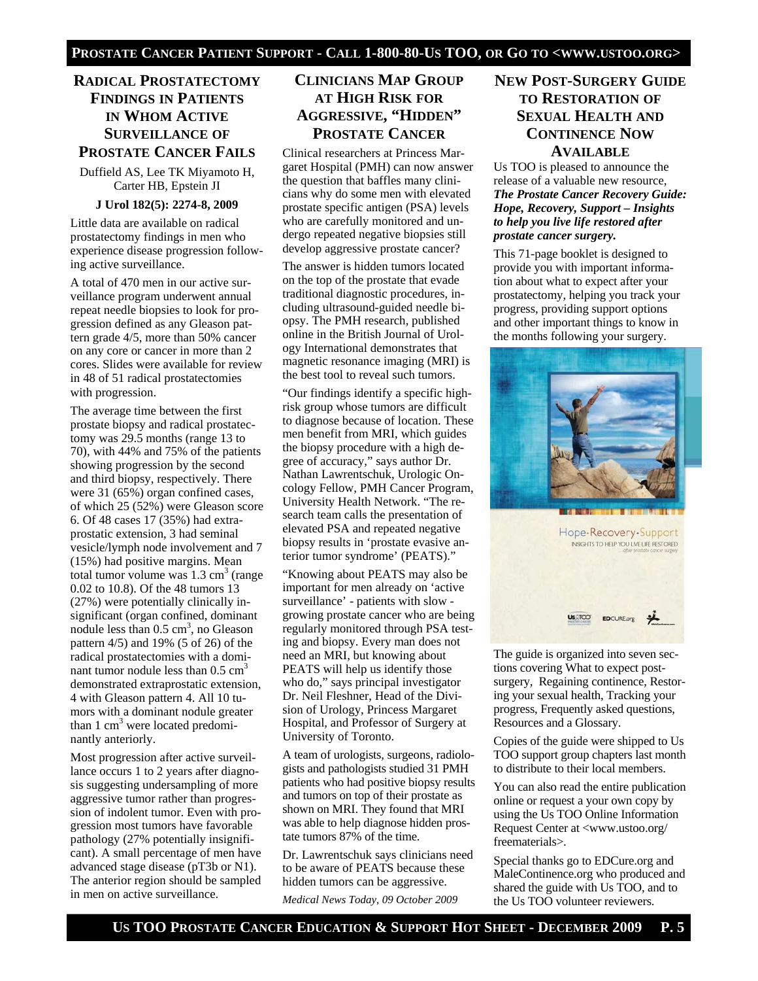# **RADICAL PROSTATECTOMY FINDINGS IN PATIENTS IN WHOM ACTIVE SURVEILLANCE OF PROSTATE CANCER FAILS**

Duffield AS, Lee TK Miyamoto H, Carter HB, Epstein JI

#### **J Urol 182(5): 2274-8, 2009**

Little data are available on radical prostatectomy findings in men who experience disease progression following active surveillance.

A total of 470 men in our active surveillance program underwent annual repeat needle biopsies to look for progression defined as any Gleason pattern grade 4/5, more than 50% cancer on any core or cancer in more than 2 cores. Slides were available for review in 48 of 51 radical prostatectomies with progression.

The average time between the first prostate biopsy and radical prostatectomy was 29.5 months (range 13 to 70), with 44% and 75% of the patients showing progression by the second and third biopsy, respectively. There were 31 (65%) organ confined cases, of which 25 (52%) were Gleason score 6. Of 48 cases 17 (35%) had extraprostatic extension, 3 had seminal vesicle/lymph node involvement and 7 (15%) had positive margins. Mean total tumor volume was  $1.3 \text{ cm}^3$  (range 0.02 to 10.8). Of the 48 tumors 13 (27%) were potentially clinically insignificant (organ confined, dominant nodule less than  $0.5 \text{ cm}^3$ , no Gleason pattern 4/5) and 19% (5 of 26) of the radical prostatectomies with a dominant tumor nodule less than  $0.5 \text{ cm}^3$ demonstrated extraprostatic extension, 4 with Gleason pattern 4. All 10 tumors with a dominant nodule greater than 1 cm<sup>3</sup> were located predominantly anteriorly.

Most progression after active surveillance occurs 1 to 2 years after diagnosis suggesting undersampling of more aggressive tumor rather than progression of indolent tumor. Even with progression most tumors have favorable pathology (27% potentially insignificant). A small percentage of men have advanced stage disease (pT3b or N1). The anterior region should be sampled in men on active surveillance.

# **CLINICIANS MAP GROUP AT HIGH RISK FOR AGGRESSIVE, "HIDDEN" PROSTATE CANCER**

Clinical researchers at Princess Margaret Hospital (PMH) can now answer the question that baffles many clinicians why do some men with elevated prostate specific antigen (PSA) levels who are carefully monitored and undergo repeated negative biopsies still develop aggressive prostate cancer?

The answer is hidden tumors located on the top of the prostate that evade traditional diagnostic procedures, including ultrasound-guided needle biopsy. The PMH research, published online in the British Journal of Urology International demonstrates that magnetic resonance imaging (MRI) is the best tool to reveal such tumors.

"Our findings identify a specific highrisk group whose tumors are difficult to diagnose because of location. These men benefit from MRI, which guides the biopsy procedure with a high degree of accuracy," says author Dr. Nathan Lawrentschuk, Urologic Oncology Fellow, PMH Cancer Program, University Health Network. "The research team calls the presentation of elevated PSA and repeated negative biopsy results in 'prostate evasive anterior tumor syndrome' (PEATS)."

"Knowing about PEATS may also be important for men already on 'active surveillance' - patients with slow growing prostate cancer who are being regularly monitored through PSA testing and biopsy. Every man does not need an MRI, but knowing about PEATS will help us identify those who do," says principal investigator Dr. Neil Fleshner, Head of the Division of Urology, Princess Margaret Hospital, and Professor of Surgery at University of Toronto.

A team of urologists, surgeons, radiologists and pathologists studied 31 PMH patients who had positive biopsy results and tumors on top of their prostate as shown on MRI. They found that MRI was able to help diagnose hidden prostate tumors 87% of the time.

Dr. Lawrentschuk says clinicians need to be aware of PEATS because these hidden tumors can be aggressive. *Medical News Today, 09 October 2009* 

### **NEW POST-SURGERY GUIDE TO RESTORATION OF SEXUAL HEALTH AND CONTINENCE NOW AVAILABLE**

Us TOO is pleased to announce the release of a valuable new resource, *The Prostate Cancer Recovery Guide: Hope, Recovery, Support – Insights to help you live life restored after prostate cancer surgery.*

This 71-page booklet is designed to provide you with important information about what to expect after your prostatectomy, helping you track your progress, providing support options and other important things to know in the months following your surgery.



The guide is organized into seven sections covering What to expect postsurgery, Regaining continence, Restoring your sexual health, Tracking your progress, Frequently asked questions,

EDCURE.org

**US** TOO

Copies of the guide were shipped to Us TOO support group chapters last month to distribute to their local members.

Resources and a Glossary.

You can also read the entire publication online or request a your own copy by using the Us TOO Online Information Request Center at <www.ustoo.org/ freematerials>.

Special thanks go to EDCure.org and MaleContinence.org who produced and shared the guide with Us TOO, and to the Us TOO volunteer reviewers.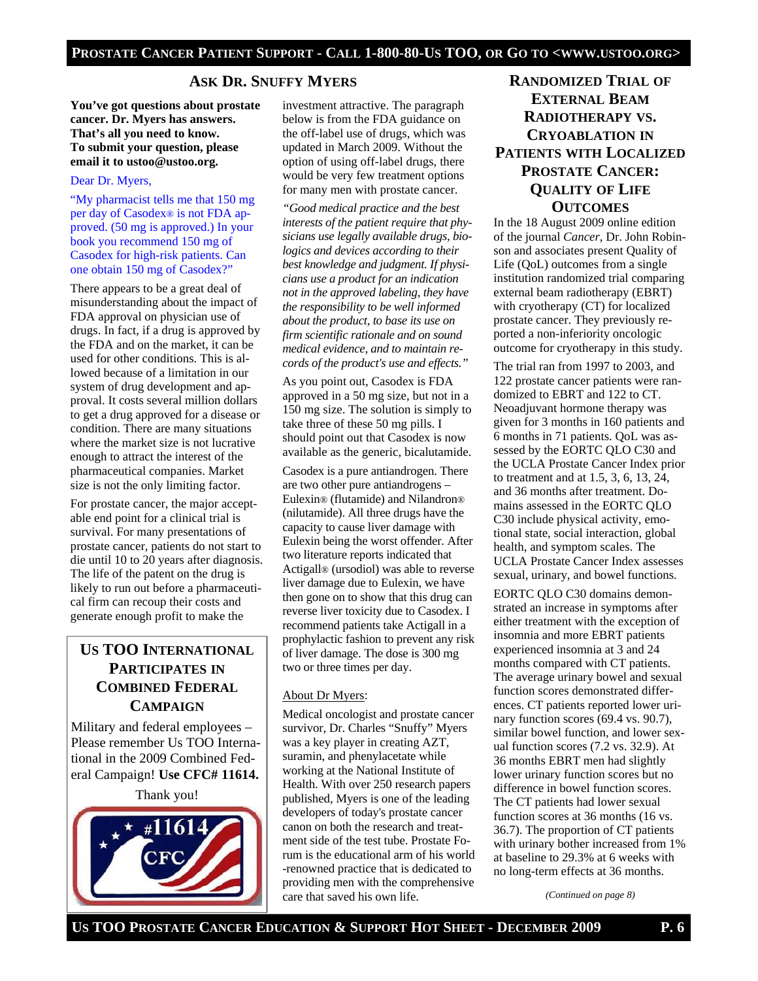### **ASK DR. SNUFFY MYERS**

**You've got questions about prostate cancer. Dr. Myers has answers. That's all you need to know. To submit your question, please email it to ustoo@ustoo.org.** 

#### Dear Dr. Myers,

"My pharmacist tells me that 150 mg per day of Casodex® is not FDA approved. (50 mg is approved.) In your book you recommend 150 mg of Casodex for high-risk patients. Can one obtain 150 mg of Casodex?"

There appears to be a great deal of misunderstanding about the impact of FDA approval on physician use of drugs. In fact, if a drug is approved by the FDA and on the market, it can be used for other conditions. This is allowed because of a limitation in our system of drug development and approval. It costs several million dollars to get a drug approved for a disease or condition. There are many situations where the market size is not lucrative enough to attract the interest of the pharmaceutical companies. Market size is not the only limiting factor.

For prostate cancer, the major acceptable end point for a clinical trial is survival. For many presentations of prostate cancer, patients do not start to die until 10 to 20 years after diagnosis. The life of the patent on the drug is likely to run out before a pharmaceutical firm can recoup their costs and generate enough profit to make the

# **US TOO INTERNATIONAL PARTICIPATES IN COMBINED FEDERAL CAMPAIGN**

Military and federal employees – Please remember Us TOO International in the 2009 Combined Federal Campaign! **Use CFC# 11614.** 

Thank you!



investment attractive. The paragraph below is from the FDA guidance on the off-label use of drugs, which was updated in March 2009. Without the option of using off-label drugs, there would be very few treatment options for many men with prostate cancer.

*"Good medical practice and the best interests of the patient require that physicians use legally available drugs, biologics and devices according to their best knowledge and judgment. If physicians use a product for an indication not in the approved labeling, they have the responsibility to be well informed about the product, to base its use on firm scientific rationale and on sound medical evidence, and to maintain records of the product's use and effects."* 

As you point out, Casodex is FDA approved in a 50 mg size, but not in a 150 mg size. The solution is simply to take three of these 50 mg pills. I should point out that Casodex is now available as the generic, bicalutamide.

Casodex is a pure antiandrogen. There are two other pure antiandrogens – Eulexin® (flutamide) and Nilandron® (nilutamide). All three drugs have the capacity to cause liver damage with Eulexin being the worst offender. After two literature reports indicated that Actigall® (ursodiol) was able to reverse liver damage due to Eulexin, we have then gone on to show that this drug can reverse liver toxicity due to Casodex. I recommend patients take Actigall in a prophylactic fashion to prevent any risk of liver damage. The dose is 300 mg two or three times per day.

#### About Dr Myers:

Medical oncologist and prostate cancer survivor, Dr. Charles "Snuffy" Myers was a key player in creating AZT, suramin, and phenylacetate while working at the National Institute of Health. With over 250 research papers published, Myers is one of the leading developers of today's prostate cancer canon on both the research and treatment side of the test tube. Prostate Forum is the educational arm of his world -renowned practice that is dedicated to providing men with the comprehensive care that saved his own life.

# **RANDOMIZED TRIAL OF EXTERNAL BEAM RADIOTHERAPY VS. CRYOABLATION IN PATIENTS WITH LOCALIZED PROSTATE CANCER: QUALITY OF LIFE OUTCOMES**

In the 18 August 2009 online edition of the journal *Cancer*, Dr. John Robinson and associates present Quality of Life (QoL) outcomes from a single institution randomized trial comparing external beam radiotherapy (EBRT) with cryotherapy (CT) for localized prostate cancer. They previously reported a non-inferiority oncologic outcome for cryotherapy in this study.

The trial ran from 1997 to 2003, and 122 prostate cancer patients were randomized to EBRT and 122 to CT. Neoadjuvant hormone therapy was given for 3 months in 160 patients and 6 months in 71 patients. QoL was assessed by the EORTC QLO C30 and the UCLA Prostate Cancer Index prior to treatment and at 1.5, 3, 6, 13, 24, and 36 months after treatment. Domains assessed in the EORTC QLO C30 include physical activity, emotional state, social interaction, global health, and symptom scales. The UCLA Prostate Cancer Index assesses sexual, urinary, and bowel functions.

EORTC QLO C30 domains demonstrated an increase in symptoms after either treatment with the exception of insomnia and more EBRT patients experienced insomnia at 3 and 24 months compared with CT patients. The average urinary bowel and sexual function scores demonstrated differences. CT patients reported lower urinary function scores (69.4 vs. 90.7), similar bowel function, and lower sexual function scores (7.2 vs. 32.9). At 36 months EBRT men had slightly lower urinary function scores but no difference in bowel function scores. The CT patients had lower sexual function scores at 36 months (16 vs. 36.7). The proportion of CT patients with urinary bother increased from 1% at baseline to 29.3% at 6 weeks with no long-term effects at 36 months.

*(Continued on page 8)*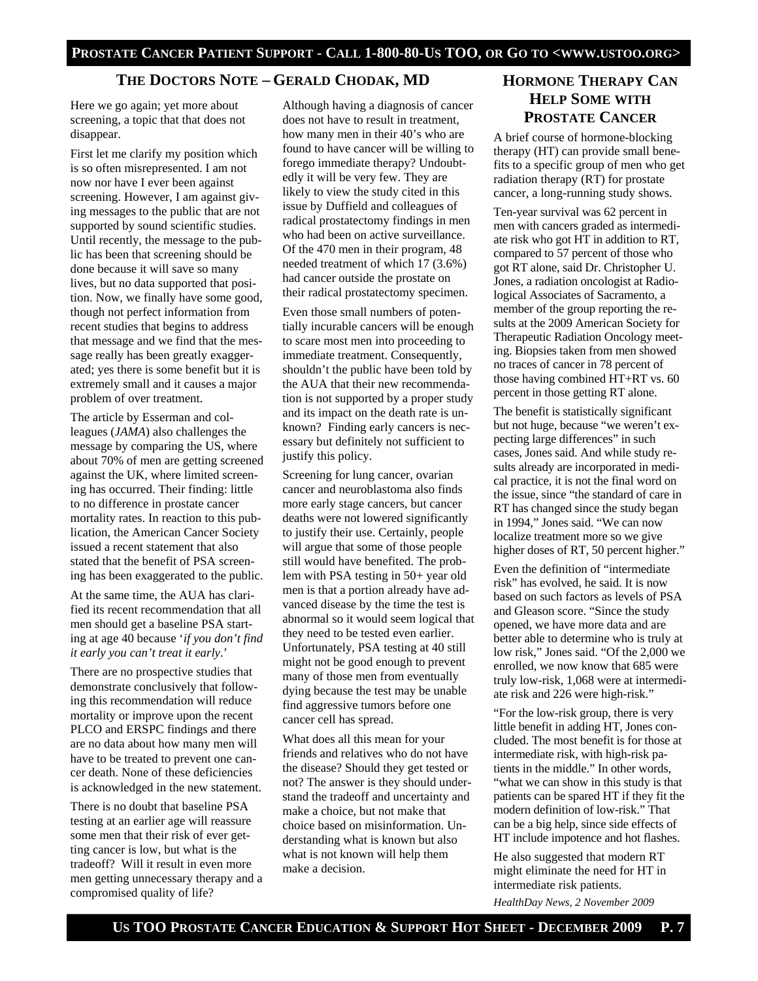### **THE DOCTORS NOTE – GERALD CHODAK, MD**

Here we go again; yet more about screening, a topic that that does not disappear.

First let me clarify my position which is so often misrepresented. I am not now nor have I ever been against screening. However, I am against giving messages to the public that are not supported by sound scientific studies. Until recently, the message to the public has been that screening should be done because it will save so many lives, but no data supported that position. Now, we finally have some good, though not perfect information from recent studies that begins to address that message and we find that the message really has been greatly exaggerated; yes there is some benefit but it is extremely small and it causes a major problem of over treatment.

The article by Esserman and colleagues (*JAMA*) also challenges the message by comparing the US, where about 70% of men are getting screened against the UK, where limited screening has occurred. Their finding: little to no difference in prostate cancer mortality rates. In reaction to this publication, the American Cancer Society issued a recent statement that also stated that the benefit of PSA screening has been exaggerated to the public.

At the same time, the AUA has clarified its recent recommendation that all men should get a baseline PSA starting at age 40 because '*if you don't find it early you can't treat it early*.'

There are no prospective studies that demonstrate conclusively that following this recommendation will reduce mortality or improve upon the recent PLCO and ERSPC findings and there are no data about how many men will have to be treated to prevent one cancer death. None of these deficiencies is acknowledged in the new statement.

There is no doubt that baseline PSA testing at an earlier age will reassure some men that their risk of ever getting cancer is low, but what is the tradeoff? Will it result in even more men getting unnecessary therapy and a compromised quality of life?

Although having a diagnosis of cancer does not have to result in treatment, how many men in their 40's who are found to have cancer will be willing to forego immediate therapy? Undoubtedly it will be very few. They are likely to view the study cited in this issue by Duffield and colleagues of radical prostatectomy findings in men who had been on active surveillance. Of the 470 men in their program, 48 needed treatment of which 17 (3.6%) had cancer outside the prostate on their radical prostatectomy specimen.

Even those small numbers of potentially incurable cancers will be enough to scare most men into proceeding to immediate treatment. Consequently, shouldn't the public have been told by the AUA that their new recommendation is not supported by a proper study and its impact on the death rate is unknown? Finding early cancers is necessary but definitely not sufficient to justify this policy.

Screening for lung cancer, ovarian cancer and neuroblastoma also finds more early stage cancers, but cancer deaths were not lowered significantly to justify their use. Certainly, people will argue that some of those people still would have benefited. The problem with PSA testing in 50+ year old men is that a portion already have advanced disease by the time the test is abnormal so it would seem logical that they need to be tested even earlier. Unfortunately, PSA testing at 40 still might not be good enough to prevent many of those men from eventually dying because the test may be unable find aggressive tumors before one cancer cell has spread.

What does all this mean for your friends and relatives who do not have the disease? Should they get tested or not? The answer is they should understand the tradeoff and uncertainty and make a choice, but not make that choice based on misinformation. Understanding what is known but also what is not known will help them make a decision.

# **HORMONE THERAPY CAN HELP SOME WITH PROSTATE CANCER**

A brief course of hormone-blocking therapy (HT) can provide small benefits to a specific group of men who get radiation therapy (RT) for prostate cancer, a long-running study shows.

Ten-year survival was 62 percent in men with cancers graded as intermediate risk who got HT in addition to RT, compared to 57 percent of those who got RT alone, said Dr. Christopher U. Jones, a radiation oncologist at Radiological Associates of Sacramento, a member of the group reporting the results at the 2009 American Society for Therapeutic Radiation Oncology meeting. Biopsies taken from men showed no traces of cancer in 78 percent of those having combined HT+RT vs. 60 percent in those getting RT alone.

The benefit is statistically significant but not huge, because "we weren't expecting large differences" in such cases, Jones said. And while study results already are incorporated in medical practice, it is not the final word on the issue, since "the standard of care in RT has changed since the study began in 1994," Jones said. "We can now localize treatment more so we give higher doses of RT, 50 percent higher."

Even the definition of "intermediate risk" has evolved, he said. It is now based on such factors as levels of PSA and Gleason score. "Since the study opened, we have more data and are better able to determine who is truly at low risk," Jones said. "Of the 2,000 we enrolled, we now know that 685 were truly low-risk, 1,068 were at intermediate risk and 226 were high-risk."

"For the low-risk group, there is very little benefit in adding HT, Jones concluded. The most benefit is for those at intermediate risk, with high-risk patients in the middle." In other words, "what we can show in this study is that patients can be spared HT if they fit the modern definition of low-risk." That can be a big help, since side effects of HT include impotence and hot flashes.

He also suggested that modern RT might eliminate the need for HT in intermediate risk patients.

*HealthDay News, 2 November 2009*